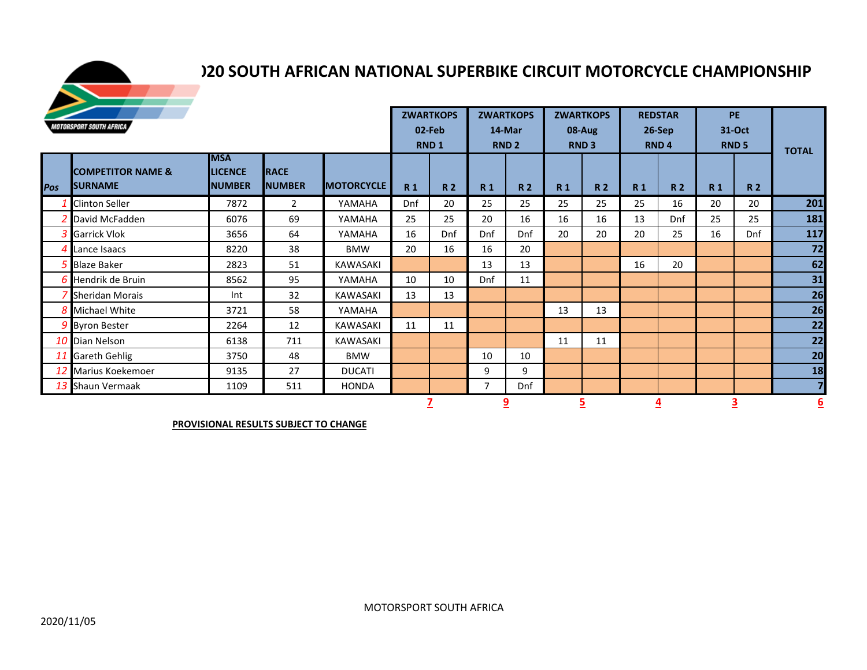

## **20 SOUTH AFRICAN NATIONAL SUPERBIKE CIRCUIT MOTORCYCLE CHAMPIONSHIP**

|                                |                                                | <b>ZWARTKOPS</b>                              |                              | <b>ZWARTKOPS</b>  |                | <b>ZWARTKOPS</b>           |                | <b>REDSTAR</b>          |                | <b>PE</b>             |           |                              |                |                       |                         |
|--------------------------------|------------------------------------------------|-----------------------------------------------|------------------------------|-------------------|----------------|----------------------------|----------------|-------------------------|----------------|-----------------------|-----------|------------------------------|----------------|-----------------------|-------------------------|
| <b>MOTORSPORT SOUTH AFRICA</b> |                                                |                                               |                              |                   |                | 02-Feb<br>RND <sub>1</sub> |                | 14-Mar<br><b>RND 2</b>  |                | 08-Aug<br><b>RND3</b> |           | $26-Sep$<br>RND <sub>4</sub> |                | 31-Oct<br><b>RND5</b> | <b>TOTAL</b>            |
| Pos                            | <b>COMPETITOR NAME &amp;</b><br><b>SURNAME</b> | <b>MSA</b><br><b>LICENCE</b><br><b>NUMBER</b> | <b>RACE</b><br><b>NUMBER</b> | <b>MOTORCYCLE</b> | R <sub>1</sub> | <b>R2</b>                  | <b>R1</b>      | R <sub>2</sub>          | R <sub>1</sub> | R <sub>2</sub>        | <b>R1</b> | <b>R2</b>                    | R <sub>1</sub> | <b>R2</b>             |                         |
|                                | <b>Clinton Seller</b>                          | 7872                                          | $\overline{2}$               | YAMAHA            | Dnf            | 20                         | 25             | 25                      | 25             | 25                    | 25        | 16                           | 20             | 20                    | 201                     |
|                                | 2 David McFadden                               | 6076                                          | 69                           | YAMAHA            | 25             | 25                         | 20             | 16                      | 16             | 16                    | 13        | Dnf                          | 25             | 25                    | 181                     |
|                                | 3 Garrick Vlok                                 | 3656                                          | 64                           | YAMAHA            | 16             | Dnf                        | Dnf            | Dnf                     | 20             | 20                    | 20        | 25                           | 16             | Dnf                   | 117                     |
|                                | 4 Lance Isaacs                                 | 8220                                          | 38                           | <b>BMW</b>        | 20             | 16                         | 16             | 20                      |                |                       |           |                              |                |                       | 72                      |
|                                | 5 Blaze Baker                                  | 2823                                          | 51                           | <b>KAWASAKI</b>   |                |                            | 13             | 13                      |                |                       | 16        | 20                           |                |                       | 62                      |
|                                | 6 Hendrik de Bruin                             | 8562                                          | 95                           | YAMAHA            | 10             | 10                         | Dnf            | 11                      |                |                       |           |                              |                |                       | 31                      |
|                                | 7 Sheridan Morais                              | Int                                           | 32                           | KAWASAKI          | 13             | 13                         |                |                         |                |                       |           |                              |                |                       | 26                      |
|                                | 8 Michael White                                | 3721                                          | 58                           | YAMAHA            |                |                            |                |                         | 13             | 13                    |           |                              |                |                       | 26                      |
|                                | 9 Byron Bester                                 | 2264                                          | 12                           | KAWASAKI          | 11             | 11                         |                |                         |                |                       |           |                              |                |                       | 22                      |
|                                | 10 Dian Nelson                                 | 6138                                          | 711                          | KAWASAKI          |                |                            |                |                         | 11             | 11                    |           |                              |                |                       | 22                      |
|                                | 11 Gareth Gehlig                               | 3750                                          | 48                           | <b>BMW</b>        |                |                            | 10             | 10                      |                |                       |           |                              |                |                       | 20                      |
|                                | 12 Marius Koekemoer                            | 9135                                          | 27                           | <b>DUCATI</b>     |                |                            | 9              | 9                       |                |                       |           |                              |                |                       | 18                      |
|                                | 13 Shaun Vermaak                               | 1109                                          | 511                          | <b>HONDA</b>      |                |                            | $\overline{7}$ | Dnf                     |                |                       |           |                              |                |                       | $\overline{\mathbf{z}}$ |
|                                |                                                |                                               |                              |                   |                |                            |                | $\overline{\mathbf{9}}$ |                |                       |           |                              |                |                       | 6                       |

**PROVISIONAL RESULTS SUBJECT TO CHANGE**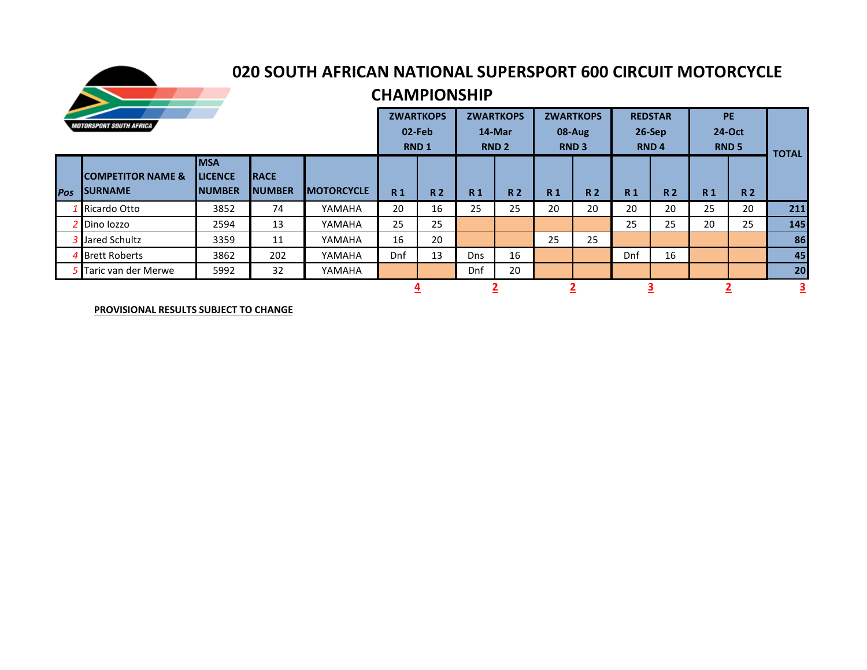

## **2020 SOUTH AFRICAN NATIONAL SUPERSPORT 600 CIRCUIT MOTORCYCLE**

## **CHAMPIONSHIP**

| <b>MOTORSPORT SOUTH AFRICA</b> |                                                  |                                                  |                               |                   |                | <b>ZWARTKOPS</b><br>02-Feb<br><b>RND1</b> |                | <b>ZWARTKOPS</b><br>14-Mar<br>RND <sub>2</sub> |                | <b>ZWARTKOPS</b><br>08-Aug<br><b>RND3</b> |                | <b>REDSTAR</b><br>$26-Sep$<br><b>RND4</b> |                | <b>PE</b><br>24-Oct<br><b>RND 5</b> |              |
|--------------------------------|--------------------------------------------------|--------------------------------------------------|-------------------------------|-------------------|----------------|-------------------------------------------|----------------|------------------------------------------------|----------------|-------------------------------------------|----------------|-------------------------------------------|----------------|-------------------------------------|--------------|
| <b>Pos</b>                     | <b>ICOMPETITOR NAME &amp;</b><br><b>ISURNAME</b> | <b>IMSA</b><br><b>ILICENCE</b><br><b>INUMBER</b> | <b>IRACE</b><br><b>NUMBER</b> | <b>MOTORCYCLE</b> | R <sub>1</sub> | <b>R2</b>                                 | R <sub>1</sub> | <b>R2</b>                                      | R <sub>1</sub> | <b>R2</b>                                 | R <sub>1</sub> | <b>R2</b>                                 | R <sub>1</sub> | <b>R2</b>                           | <b>TOTAL</b> |
|                                | Ricardo Otto                                     | 3852                                             | 74                            | YAMAHA            | 20             | 16                                        | 25             | 25                                             | 20             | 20                                        | 20             | 20                                        | 25             | 20                                  | 211          |
|                                | Dino lozzo                                       | 2594                                             | 13                            | YAMAHA            | 25             | 25                                        |                |                                                |                |                                           | 25             | 25                                        | 20             | 25                                  | 145          |
|                                | 3 Jared Schultz                                  | 3359                                             | 11                            | YAMAHA            | 16             | 20                                        |                |                                                | 25             | 25                                        |                |                                           |                |                                     | 86           |
|                                | 4 Brett Roberts                                  | 3862                                             | 202                           | YAMAHA            | Dnf            | 13                                        | <b>Dns</b>     | 16                                             |                |                                           | Dnf            | 16                                        |                |                                     | 45           |
|                                | Taric van der Merwe                              | 5992                                             | 32                            | YAMAHA            |                |                                           | Dnf            | 20                                             |                |                                           |                |                                           |                |                                     | 20           |
|                                |                                                  |                                                  |                               |                   |                |                                           |                |                                                |                |                                           |                |                                           |                |                                     | <u>3</u>     |

**PROVISIONAL RESULTS SUBJECT TO CHANGE**